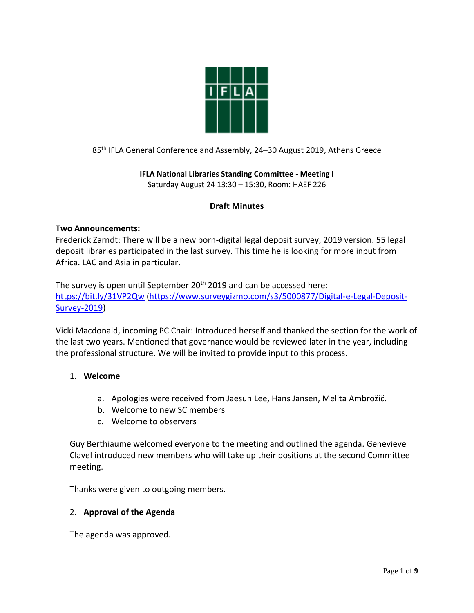

85 th IFLA General Conference and Assembly, 24–30 August 2019, Athens Greece

**IFLA National Libraries Standing Committee - Meeting I** Saturday August 24 13:30 – 15:30, Room: HAEF 226

# **Draft Minutes**

## **Two Announcements:**

Frederick Zarndt: There will be a new born-digital legal deposit survey, 2019 version. 55 legal deposit libraries participated in the last survey. This time he is looking for more input from Africa. LAC and Asia in particular.

The survey is open until September 20<sup>th</sup> 2019 and can be accessed here: <https://bit.ly/31VP2Qw> [\(https://www.surveygizmo.com/s3/5000877/Digital-e-Legal-Deposit-](https://www.surveygizmo.com/s3/5000877/Digital-e-Legal-Deposit-Survey-2019)[Survey-2019\)](https://www.surveygizmo.com/s3/5000877/Digital-e-Legal-Deposit-Survey-2019)

Vicki Macdonald, incoming PC Chair: Introduced herself and thanked the section for the work of the last two years. Mentioned that governance would be reviewed later in the year, including the professional structure. We will be invited to provide input to this process.

## 1. **Welcome**

- a. Apologies were received from Jaesun Lee, Hans Jansen, Melita Ambrožič.
- b. Welcome to new SC members
- c. Welcome to observers

Guy Berthiaume welcomed everyone to the meeting and outlined the agenda. Genevieve Clavel introduced new members who will take up their positions at the second Committee meeting.

Thanks were given to outgoing members.

## 2. **Approval of the Agenda**

The agenda was approved.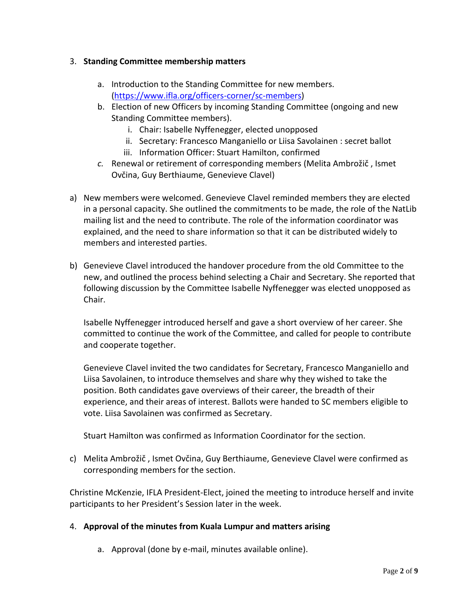## 3. **Standing Committee membership matters**

- a. Introduction to the Standing Committee for new members. [\(https://www.ifla.org/officers-corner/sc-members\)](https://www.ifla.org/officers-corner/sc-members)
- b. Election of new Officers by incoming Standing Committee (ongoing and new Standing Committee members).
	- i. Chair: Isabelle Nyffenegger, elected unopposed
	- ii. Secretary: Francesco Manganiello or Liisa Savolainen : secret ballot
	- iii. Information Officer: Stuart Hamilton, confirmed
- *c.* Renewal or retirement of corresponding members (Melita Ambrožič , Ismet Ovčina, Guy Berthiaume, Genevieve Clavel)
- a) New members were welcomed. Genevieve Clavel reminded members they are elected in a personal capacity. She outlined the commitments to be made, the role of the NatLib mailing list and the need to contribute. The role of the information coordinator was explained, and the need to share information so that it can be distributed widely to members and interested parties.
- b) Genevieve Clavel introduced the handover procedure from the old Committee to the new, and outlined the process behind selecting a Chair and Secretary. She reported that following discussion by the Committee Isabelle Nyffenegger was elected unopposed as Chair.

Isabelle Nyffenegger introduced herself and gave a short overview of her career. She committed to continue the work of the Committee, and called for people to contribute and cooperate together.

Genevieve Clavel invited the two candidates for Secretary, Francesco Manganiello and Liisa Savolainen, to introduce themselves and share why they wished to take the position. Both candidates gave overviews of their career, the breadth of their experience, and their areas of interest. Ballots were handed to SC members eligible to vote. Liisa Savolainen was confirmed as Secretary.

Stuart Hamilton was confirmed as Information Coordinator for the section.

c) Melita Ambrožič , Ismet Ovčina, Guy Berthiaume, Genevieve Clavel were confirmed as corresponding members for the section.

Christine McKenzie, IFLA President-Elect, joined the meeting to introduce herself and invite participants to her President's Session later in the week.

# 4. **Approval of the minutes from Kuala Lumpur and matters arising**

a. Approval (done by e-mail, minutes available online).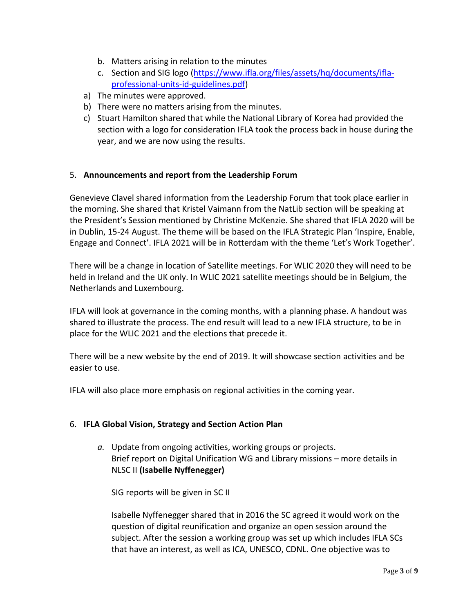- b. Matters arising in relation to the minutes
- c. Section and SIG logo [\(https://www.ifla.org/files/assets/hq/documents/ifla](https://www.ifla.org/files/assets/hq/documents/ifla-professional-units-id-guidelines.pdf)[professional-units-id-guidelines.pdf\)](https://www.ifla.org/files/assets/hq/documents/ifla-professional-units-id-guidelines.pdf)
- a) The minutes were approved.
- b) There were no matters arising from the minutes.
- c) Stuart Hamilton shared that while the National Library of Korea had provided the section with a logo for consideration IFLA took the process back in house during the year, and we are now using the results.

## 5. **Announcements and report from the Leadership Forum**

Genevieve Clavel shared information from the Leadership Forum that took place earlier in the morning. She shared that Kristel Vaimann from the NatLib section will be speaking at the President's Session mentioned by Christine McKenzie. She shared that IFLA 2020 will be in Dublin, 15-24 August. The theme will be based on the IFLA Strategic Plan 'Inspire, Enable, Engage and Connect'. IFLA 2021 will be in Rotterdam with the theme 'Let's Work Together'.

There will be a change in location of Satellite meetings. For WLIC 2020 they will need to be held in Ireland and the UK only. In WLIC 2021 satellite meetings should be in Belgium, the Netherlands and Luxembourg.

IFLA will look at governance in the coming months, with a planning phase. A handout was shared to illustrate the process. The end result will lead to a new IFLA structure, to be in place for the WLIC 2021 and the elections that precede it.

There will be a new website by the end of 2019. It will showcase section activities and be easier to use.

IFLA will also place more emphasis on regional activities in the coming year.

## 6. **IFLA Global Vision, Strategy and Section Action Plan**

*a.* Update from ongoing activities, working groups or projects. Brief report on Digital Unification WG and Library missions – more details in NLSC II **(Isabelle Nyffenegger)**

SIG reports will be given in SC II

Isabelle Nyffenegger shared that in 2016 the SC agreed it would work on the question of digital reunification and organize an open session around the subject. After the session a working group was set up which includes IFLA SCs that have an interest, as well as ICA, UNESCO, CDNL. One objective was to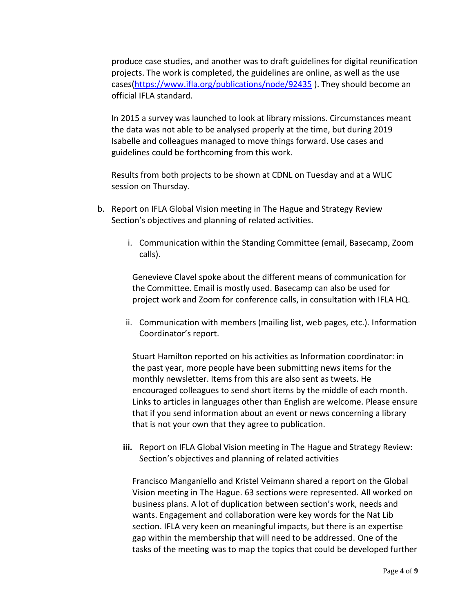produce case studies, and another was to draft guidelines for digital reunification projects. The work is completed, the guidelines are online, as well as the use cases[\(https://www.ifla.org/publications/node/92435](https://www.ifla.org/publications/node/92435) ). They should become an official IFLA standard.

In 2015 a survey was launched to look at library missions. Circumstances meant the data was not able to be analysed properly at the time, but during 2019 Isabelle and colleagues managed to move things forward. Use cases and guidelines could be forthcoming from this work.

Results from both projects to be shown at CDNL on Tuesday and at a WLIC session on Thursday.

- b. Report on IFLA Global Vision meeting in The Hague and Strategy Review Section's objectives and planning of related activities.
	- i. Communication within the Standing Committee (email, Basecamp, Zoom calls).

Genevieve Clavel spoke about the different means of communication for the Committee. Email is mostly used. Basecamp can also be used for project work and Zoom for conference calls, in consultation with IFLA HQ.

ii. Communication with members (mailing list, web pages, etc.). Information Coordinator's report.

Stuart Hamilton reported on his activities as Information coordinator: in the past year, more people have been submitting news items for the monthly newsletter. Items from this are also sent as tweets. He encouraged colleagues to send short items by the middle of each month. Links to articles in languages other than English are welcome. Please ensure that if you send information about an event or news concerning a library that is not your own that they agree to publication.

**iii.** Report on IFLA Global Vision meeting in The Hague and Strategy Review: Section's objectives and planning of related activities

Francisco Manganiello and Kristel Veimann shared a report on the Global Vision meeting in The Hague. 63 sections were represented. All worked on business plans. A lot of duplication between section's work, needs and wants. Engagement and collaboration were key words for the Nat Lib section. IFLA very keen on meaningful impacts, but there is an expertise gap within the membership that will need to be addressed. One of the tasks of the meeting was to map the topics that could be developed further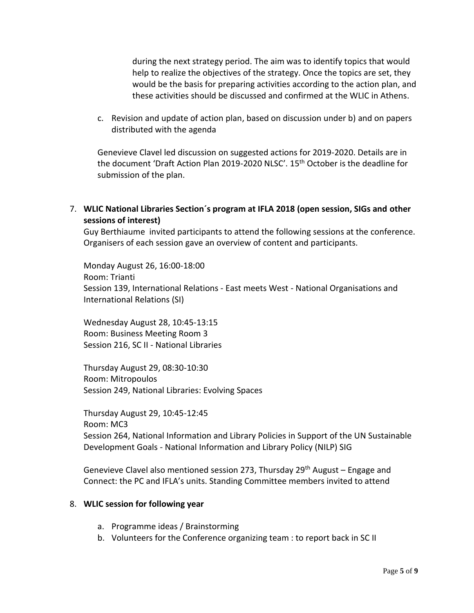during the next strategy period. The aim was to identify topics that would help to realize the objectives of the strategy. Once the topics are set, they would be the basis for preparing activities according to the action plan, and these activities should be discussed and confirmed at the WLIC in Athens.

c. Revision and update of action plan, based on discussion under b) and on papers distributed with the agenda

Genevieve Clavel led discussion on suggested actions for 2019-2020. Details are in the document 'Draft Action Plan 2019-2020 NLSC'. 15th October is the deadline for submission of the plan.

7. **WLIC National Libraries Section´s program at IFLA 2018 (open session, SIGs and other sessions of interest)**

Guy Berthiaume invited participants to attend the following sessions at the conference. Organisers of each session gave an overview of content and participants.

Monday August 26, 16:00-18:00 Room: Trianti Session 139, International Relations - East meets West - National Organisations and International Relations (SI)

Wednesday August 28, 10:45-13:15 Room: Business Meeting Room 3 Session 216, SC II - National Libraries

Thursday August 29, 08:30-10:30 Room: Mitropoulos Session 249, National Libraries: Evolving Spaces

Thursday August 29, 10:45-12:45 Room: MC3 Session 264, National Information and Library Policies in Support of the UN Sustainable Development Goals - National Information and Library Policy (NILP) SIG

Genevieve Clavel also mentioned session 273, Thursday 29<sup>th</sup> August – Engage and Connect: the PC and IFLA's units. Standing Committee members invited to attend

## 8. **WLIC session for following year**

- a. Programme ideas / Brainstorming
- b. Volunteers for the Conference organizing team : to report back in SC II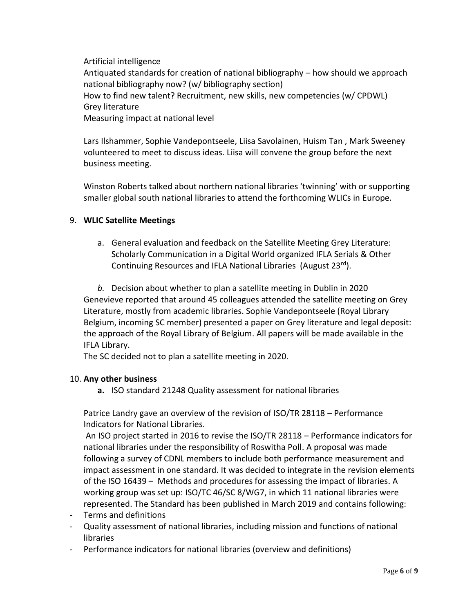Artificial intelligence

Antiquated standards for creation of national bibliography – how should we approach national bibliography now? (w/ bibliography section) How to find new talent? Recruitment, new skills, new competencies (w/ CPDWL) Grey literature Measuring impact at national level

Lars Ilshammer, Sophie Vandepontseele, Liisa Savolainen, Huism Tan , Mark Sweeney volunteered to meet to discuss ideas. Liisa will convene the group before the next business meeting.

Winston Roberts talked about northern national libraries 'twinning' with or supporting smaller global south national libraries to attend the forthcoming WLICs in Europe.

# 9. **WLIC Satellite Meetings**

a. General evaluation and feedback on the Satellite Meeting Grey Literature: Scholarly Communication in a Digital World organized IFLA Serials & Other Continuing Resources and IFLA National Libraries (August 23rd).

*b.* Decision about whether to plan a satellite meeting in Dublin in 2020 Genevieve reported that around 45 colleagues attended the satellite meeting on Grey Literature, mostly from academic libraries. Sophie Vandepontseele (Royal Library Belgium, incoming SC member) presented a paper on Grey literature and legal deposit: the approach of the Royal Library of Belgium. All papers will be made available in the IFLA Library.

The SC decided not to plan a satellite meeting in 2020.

## 10. **Any other business**

**a.** ISO standard 21248 Quality assessment for national libraries

Patrice Landry gave an overview of the revision of ISO/TR 28118 – Performance Indicators for National Libraries.

An ISO project started in 2016 to revise the ISO/TR 28118 – Performance indicators for national libraries under the responsibility of Roswitha Poll. A proposal was made following a survey of CDNL members to include both performance measurement and impact assessment in one standard. It was decided to integrate in the revision elements of the ISO 16439 – Methods and procedures for assessing the impact of libraries. A working group was set up: ISO/TC 46/SC 8/WG7, in which 11 national libraries were represented. The Standard has been published in March 2019 and contains following:

- Terms and definitions
- Quality assessment of national libraries, including mission and functions of national libraries
- Performance indicators for national libraries (overview and definitions)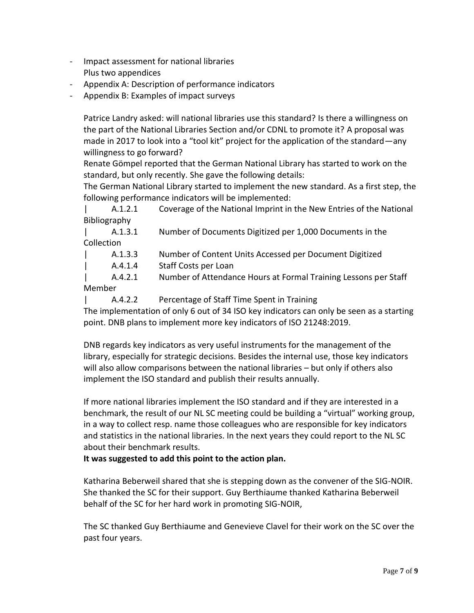- Impact assessment for national libraries Plus two appendices
- Appendix A: Description of performance indicators
- Appendix B: Examples of impact surveys

Patrice Landry asked: will national libraries use this standard? Is there a willingness on the part of the National Libraries Section and/or CDNL to promote it? A proposal was made in 2017 to look into a "tool kit" project for the application of the standard—any willingness to go forward?

Renate Gömpel reported that the German National Library has started to work on the standard, but only recently. She gave the following details:

The German National Library started to implement the new standard. As a first step, the following performance indicators will be implemented:

| A.1.2.1 Coverage of the National Imprint in the New Entries of the National Bibliography

| A.1.3.1 Number of Documents Digitized per 1,000 Documents in the Collection

- | A.1.3.3 Number of Content Units Accessed per Document Digitized
- | A.4.1.4 Staff Costs per Loan

| A.4.2.1 Number of Attendance Hours at Formal Training Lessons per Staff Member

| A.4.2.2 Percentage of Staff Time Spent in Training

The implementation of only 6 out of 34 ISO key indicators can only be seen as a starting point. DNB plans to implement more key indicators of ISO 21248:2019.

DNB regards key indicators as very useful instruments for the management of the library, especially for strategic decisions. Besides the internal use, those key indicators will also allow comparisons between the national libraries – but only if others also implement the ISO standard and publish their results annually.

If more national libraries implement the ISO standard and if they are interested in a benchmark, the result of our NL SC meeting could be building a "virtual" working group, in a way to collect resp. name those colleagues who are responsible for key indicators and statistics in the national libraries. In the next years they could report to the NL SC about their benchmark results.

**It was suggested to add this point to the action plan.**

Katharina Beberweil shared that she is stepping down as the convener of the SIG-NOIR. She thanked the SC for their support. Guy Berthiaume thanked Katharina Beberweil behalf of the SC for her hard work in promoting SIG-NOIR,

The SC thanked Guy Berthiaume and Genevieve Clavel for their work on the SC over the past four years.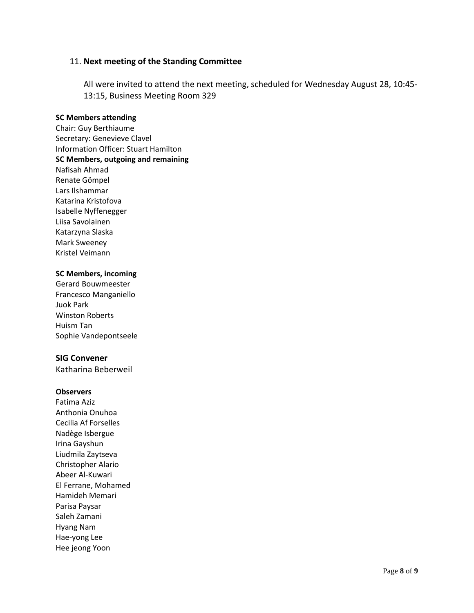### 11. **Next meeting of the Standing Committee**

All were invited to attend the next meeting, scheduled for Wednesday August 28, 10:45- 13:15, Business Meeting Room 329

#### **SC Members attending**

Chair: Guy Berthiaume Secretary: Genevieve Clavel Information Officer: Stuart Hamilton **SC Members, outgoing and remaining** Nafisah Ahmad Renate Gömpel Lars Ilshammar Katarina Kristofova Isabelle Nyffenegger Liisa Savolainen Katarzyna Slaska Mark Sweeney Kristel Veimann

### **SC Members, incoming**

Gerard Bouwmeester Francesco Manganiello Juok Park Winston Roberts Huism Tan Sophie Vandepontseele

### **SIG Convener**

Katharina Beberweil

#### **Observers**

Fatima Aziz Anthonia Onuhoa Cecilia Af Forselles Nadège Isbergue Irina Gayshun Liudmila Zaytseva Christopher Alario Abeer Al-Kuwari El Ferrane, Mohamed Hamideh Memari Parisa Paysar Saleh Zamani Hyang Nam Hae-yong Lee Hee jeong Yoon